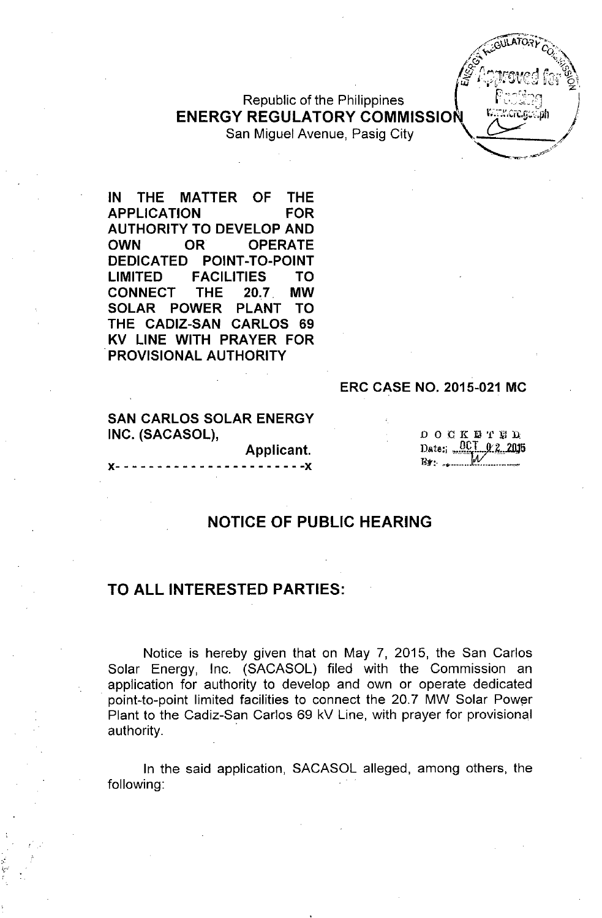Republic of the Philippines **ENERGY REGULATORY COMMISSION** 



**APPLICATION FOR AUTHORITY TO DEVELOP AND OWN OR OPERATE DEDICATED POINT-TO-POINT LIMITED FACILITIES TO CONNECT THE 20.7. MW SOLAR POWER PLANT TO THE CADIZ-SAN CARLOS 69 KV LINE WITH PRAYER FOR .PROVISIONAL AUTHORITY**

### **ERC CASE NO. 2015-021 MC**

**SAN CARLOS SOLAR ENERGY INC. (SACASOL),**

**x- - - - - - - - - - - - - - - - - - - - - - -x**

**Applicant.**

DOCK1l'l'liJD  $_{\text{Date:}}$   $_{\text{OCT}}$   $_{\text{O2}}$  2015 R1I':..••.•.....• *W \_.\_*

 ${\tt LCT\_G} \times {\tt Im}$ h

# **NOTICE OF PUBLIC HEARING**

### **TO ALL INTERESTED PARTIES:**

Notice is hereby given that on May 7, 2015, the San Carlos Solar Energy, Inc. (SACASOL) filed with the Commission an application for authority to develop and own or operate dedicated point-to-point limited facilities to connect the 20.7 MW Solar Power Plant to the Cadiz-San Carlos 69 kV Line, with prayer for provisional authority. .

**In** the said application, SACASOL alleged, among others, the following: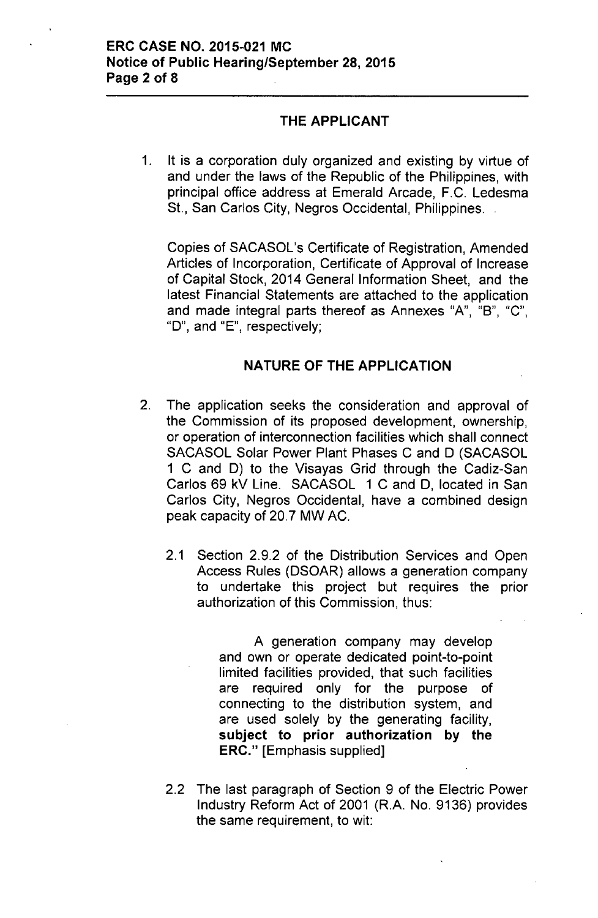## THE APPLICANT

1. It is a corporation duly organized and existing by virtue of and under the laws of the Republic of the Philippines, with principal office address at Emerald Arcade, F.C. Ledesma St., San Carlos City, Negros Occidental, Philippines...

Copies of SACASOL's Certificate of Registration, Amended Articles of Incorporation, Certificate of Approval of Increase of Capital Stock, 2014 General Information Sheet, and the latest Financial Statements are attached to the application and made integral parts thereof as Annexes "A", "B", "C", " $D$ ", and " $E$ ", respectively;

## NATURE OF THE APPLICATION

- 2. The application seeks the consideration and approval of the Commission of its proposed development, ownership, or operation of interconnection facilities which shall connect SACASOL Solar Power Plant Phases C and D (SACASOL 1 C and D) to the Visayas Grid through the Cadiz-San Carlos 69 kV Line. SACASOL 1 C and D, located in San Carlos City, Negros Occidental, have a combined design peak capacity of 20.7 MW AC.
	- 2.1 Section 2.9.2 of the Distribution Services and Open Access Rules (DSOAR) allows a generation company to undertake this project but requires the prior authorization of this Commission, thus:

A generation company may develop and own or operate dedicated point-to-point limited facilities provided, that such facilities are required only for the purpose of connecting to the distribution system, and are used solely by the generating facility, subject to prior authorization by the ERC." [Emphasis supplied]

2.2 The last paragraph of Section 9 of the Electric Power Industry Reform Act of 2001 (R.A. No. 9136) provides the same requirement, to wit: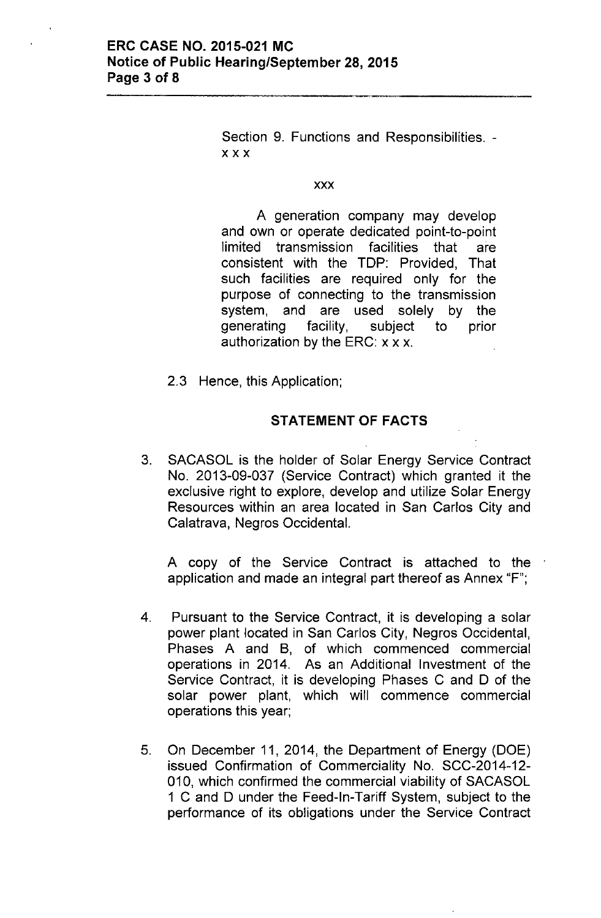Section 9. Functions and Responsibilities. xxx

#### xxx

A generation company may develop and own or operate dedicated point-to-point limited transmission facilities that are consistent with the TDP: Provided, That such facilities are required only for the purpose of connecting to the transmission system, and are used solely by the generating facility, subject to prior authorization by the ERC:  $x \times x$ .

2.3 Hence, this Application;

### **STATEMENT OF FACTS**

3. SACASOL is the holder of Solar Energy Service Contract No. 2013-09-037 (Service Contract) which granted it the exclusive right to explore, develop and utilize Solar Energy Resources within an area located in San Carlos City and Calatrava, Negros Occidental.

A copy of the Service Contract is attached to the application and made an integral part thereof as Annex "F";

- 4. Pursuant to the Service Contract, it is developing a solar power plant located in San Carlos City, Negros Occidental, Phases A and B, of which commenced commercial operations in 2014. As an Additional Investment of the Service Contract, it is developing Phases C and D of the solar power plant, which will commence commercial operations this year;
- 5. On December 11, 2014, the Department of Energy (DOE) issued Confirmation of Commerciality No. SCC-2014-12- 010, which confirmed the commercial viability of SACASOL 1 C and D under the Feed-In-Tariff System, subject to the performance of its obligations under the Service Contract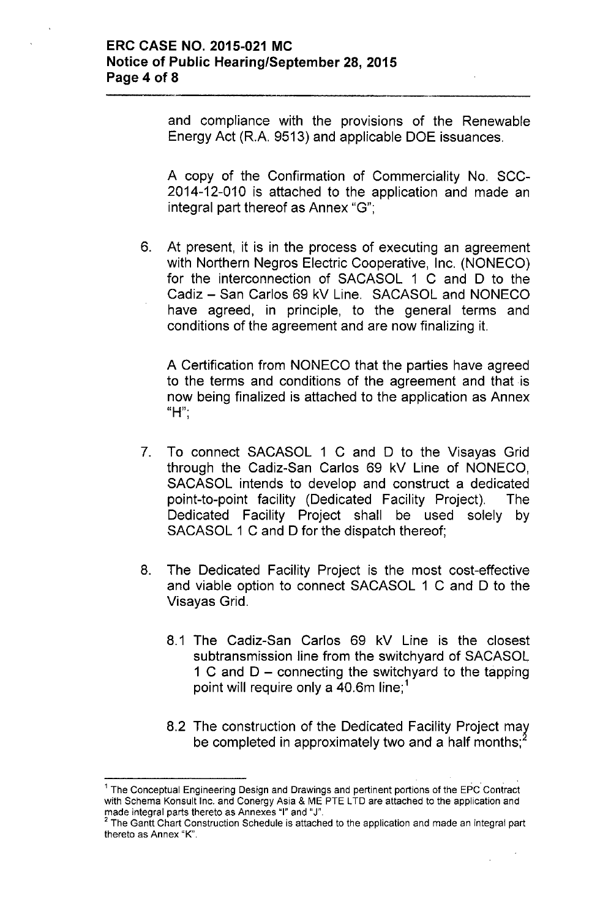and compliance with the provisions of the Renewable Energy Act (R.A. 9513) and applicable DOE issuances.

A copy of the Confirmation of Commerciality No. SCC-2014-12-010 is attached to the application and made an integral part thereof as Annex "G";

6. At present, it is in the process of executing an agreement with Northern Negros Electric Cooperative, Inc. (NONECO) for the interconnection of SACASOL 1 C and D to the Cadiz - San Carlos 69 kV Line. SACASOL and NONECO have agreed, in principle, to the general terms and conditions of the agreement and are now finalizing it.

A Certification from NONECO that the parties have agreed to the terms and conditions of the agreement and that is now being finalized is attached to the application as Annex **"H".**,

- 7. To connect SACASOL 1 C and D to the Visayas Grid through the Cadiz-San Carlos 69 kV Line of NONECO, SACASOL intends to develop and construct a dedicated point-to-point facility (Dedicated Facility Project). The Dedicated Facility Project shall be used solely by SACASOL 1 C and D for the dispatch thereof;
- 8. The Dedicated Facility Project is the most cost-effective and viable option to connect SACASOL 1 C and D to the Visayas Grid.
	- 8.1 The Cadiz-San Carlos 69 kV Line is the closest subtransmission line from the switchyard of SACASOL 1 C and  $D$  – connecting the switchyard to the tapping point will require only a 40.6m line;<sup>1</sup>
	- 8.2 The construction of the Dedicated Facility Project *mat* be completed in approximately two and a half months;

<sup>1</sup> The Conceptual Engineering Design and Drawings and pertinent portions of the EPC Contract with Schema Konsult Inc. and Conergy Asia & ME PTE LTD are attached to the application and made integral parts thereto as Annexes "I" and "J".

 $2$  The Gantt Chart Construction Schedule is attached to the application and made an integral part thereto as Annex "K".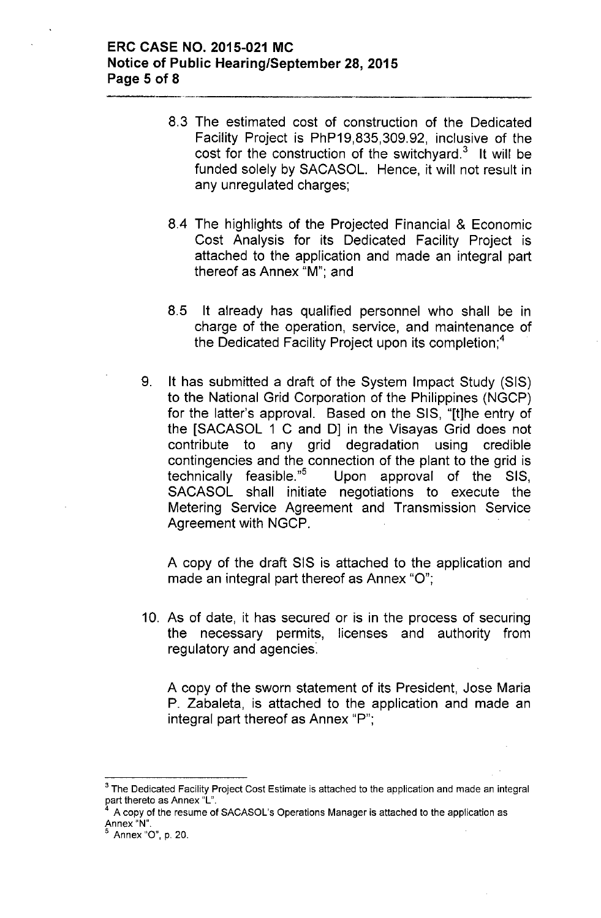### **ERC CASE NO. 2015-021 MC Notice of Public Hearing/September 28,2015 Page 5 of 8**

- 8.3 The estimated cost of construction of the Dedicated Facility Project is PhP19,835,309.92, inclusive of the cost for the construction of the switchyard. $3$  It will be funded solely by SACASOL. Hence, it will not result in any unregulated charges;
- 8.4 The highlights of the Projected Financial & Economic Cost Analysis for its Dedicated Facility Project is attached to the application and made an integral part thereof as Annex "M'", and
- 8.5 It already has qualified personnel who shall be in charge of the operation, service, and maintenance of the Dedicated Facility Project upon its completion;<sup>4</sup>
- 9. It has submitted a draft of the System Impact Study (SIS) to the National Grid Corporation of the Philippines (NGCP) for the latter's approval. Based on the SIS, "[tjhe entry of the [SACASOL 1 C and OJ in the Visayas Grid does not contribute to any grid degradation using credible contingencies and the connection of the plant to the grid is technically feasible. $n^5$  Upon approval of the SIS, SACASOL shall initiate negotiations to execute the Metering Service Agreement and Transmission Service Agreement with NGCP.

A copy of the draft SIS is attached to the application and made an integral part thereof as Annex "0";

10. As of date, it has secured or is in the process of securing the necessary permits, licenses and authority from regulatory and agencies:

A copy of the sworn statement of its President, Jose Maria P. Zabaleta, is attached to the application and made an integral part thereof as Annex "P";

 $3$  The Dedicated Facility Project Cost Estimate is attached to the application and made an integral part thereto as Annex "L".

<sup>4</sup> A copy of the resume of SACASOL's Operations Manager is attached to the application as **Annex** "N".

<sup>5</sup> Annex "0", p. 20.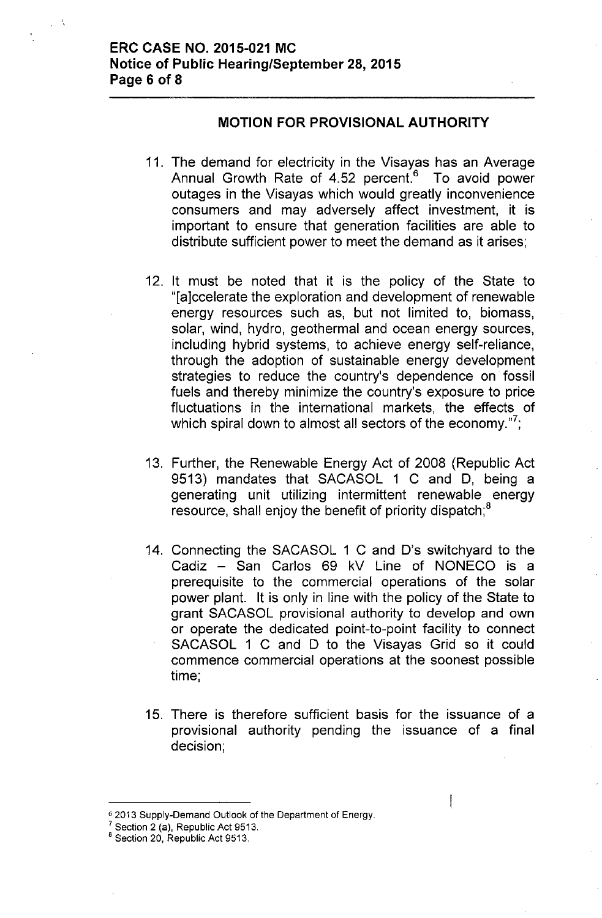## **MOTION FOR PROVISIONAL AUTHORITY**

- 11. The demand for electricity in the Visayas has an Average Annual Growth Rate of 4.52 percent.<sup>6</sup> To avoid power outages in the Visayas which would greatly inconvenience consumers and may adversely affect investment, it is important to ensure that generation facilities are able to distribute sufficient power to meet the demand as it arises;
- 12. It must be noted that it is the policy of the State to "[a]ccelerate the exploration and development of renewable energy resources such as, but not limited to, biomass, solar, wind, hydro, geothermal and ocean energy sources, including hybrid systems, to achieve energy self-reliance, through the adoption of sustainable energy development strategies to reduce the country's dependence on fossil fuels and thereby minimize the country's exposure to price fluctuations in the international markets, the effects of which spiral down to almost all sectors of the economy."<sup>7</sup>;
- 13. Further, the Renewable Energy Act of 2008 (Republic Act 9513) mandates that SACASOL 1 C and D, being a generating unit utilizing intermittent renewable energy resource, shall enjoy the benefit of priority dispatch;<sup>8</sup>
- 14. Connecting the SACASOL 1 C and D's switchyard to the Cadiz - San Carlos 69 kV Line of NONECO is a prerequisite to the commercial operations of the solar power plant. It is only in line with the policy of the State to grant SACASOL provisional authority to develop and own or operate the dedicated point-to-point facility to connect SACASOL 1 C and D to the Visayas Grid so it could commence commercial operations at the soonest possible time;
- 15. There is therefore sufficient basis for the issuance of a provisional authority pending the issuance of a final decision;

I

<sup>62013</sup> Supply-Demand Outlook of the Department of Energy.

 $\frac{7}{1}$  Section 2 (a), Republic Act 9513.

<sup>&</sup>lt;sup>8</sup> Section 20, Republic Act 9513.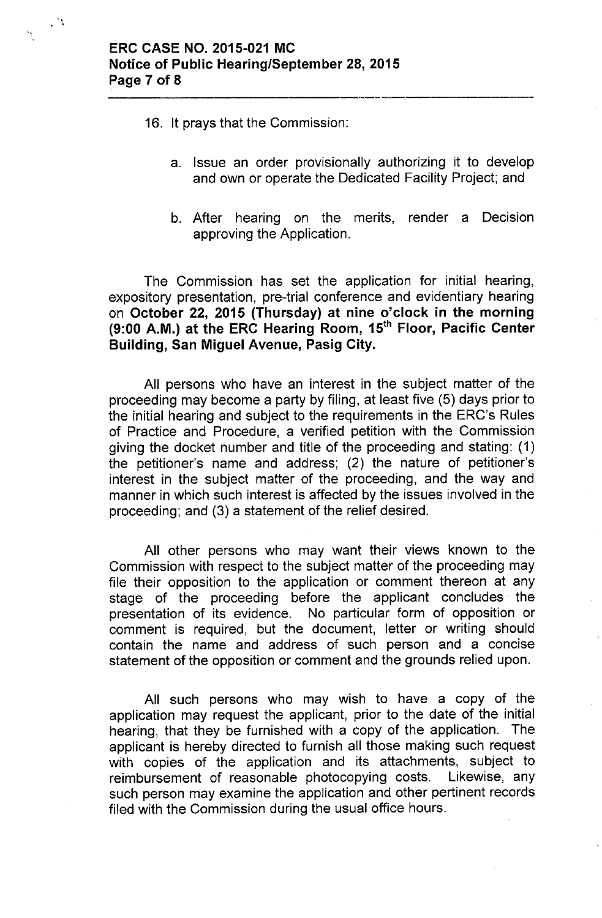" ..

- 16, It prays that the Commission:
	- a. Issue an order provisionally authorizing it to develop and own or operate the Dedicated Facility Project; and
	- b. After hearing on the merits, render a Decision approving the Application.

The Commission has set the application for initial hearing, expository presentation, pre-trial conference and evidentiary hearing on October 22, 2015 (Thursday) at nine o'clock in the morning (9:00 A.M.) at the ERC Hearing Room, 15<sup>th</sup> Floor, Pacific Center Building, San Miguel Avenue, Pasig City.

All persons who have an interest in the subject matter of the proceeding may become a party by filing, at least five (5) days prior to the initial hearing and subject to the requirements in the ERC's Rules of Practice and Procedure, a verified petition with the Commission giving the docket number and title of the proceeding and stating: (1) the petitioner's name and address; (2) the nature of petitioner's interest in the subject matter of the proceeding, and the way and manner in which such interest is affected by the issues involved in the proceeding; and (3) a statement of the relief desired.

All other persons who may want their views known to the Commission with respect to the subject matter of the proceeding may file their opposition to the application or comment thereon at any stage of the proceeding before the applicant concludes' the presentation of its evidence. No particular form of opposition or comment is required, but the document, letter or writing should contain the name and address of such person and a concise statement of the opposition or comment and the grounds relied upon.

All such persons who may wish to have a copy of the application may request the applicant, prior to the date of the initial hearing, that they be furnished with a copy of the application. The applicant is hereby directed to furnish all those making such request with copies of the application and its attachments, subject to reimbursement of reasonable photocopying costs. Likewise, any such person may examine the application and other pertinent records filed with the Commission during the usual office hours.